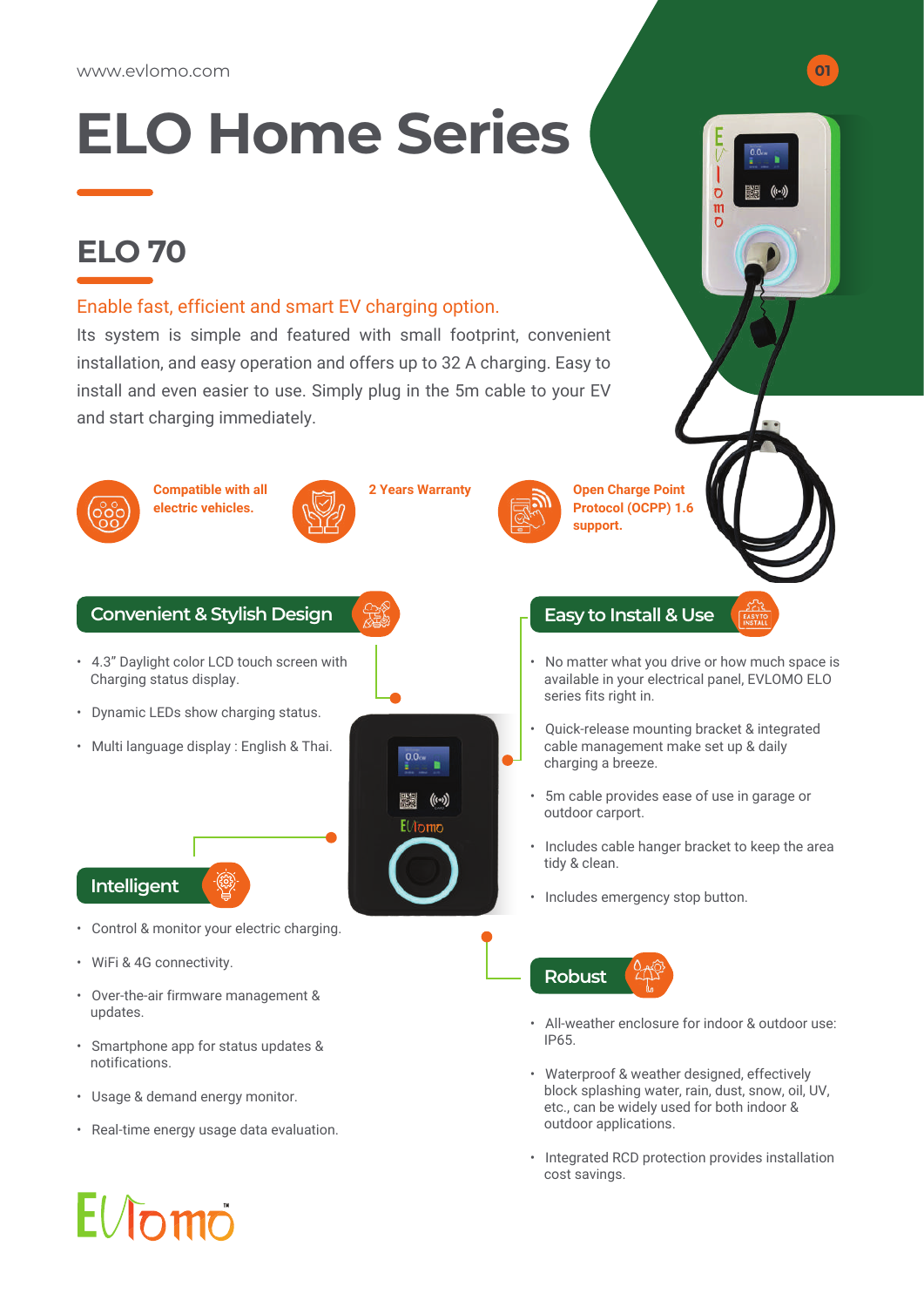# **ELO Home Series**

### **ELO 70**

#### Enable fast, efficient and smart EV charging option.

Its system is simple and featured with small footprint, convenient installation, and easy operation and offers up to 32 A charging. Easy to install and even easier to use. Simply plug in the 5m cable to your EV and start charging immediately.



• Integrated RCD protection provides installation cost savings.

 $\overline{c}$  $<sub>m</sub>$ </sub>

# $E/J$ omo